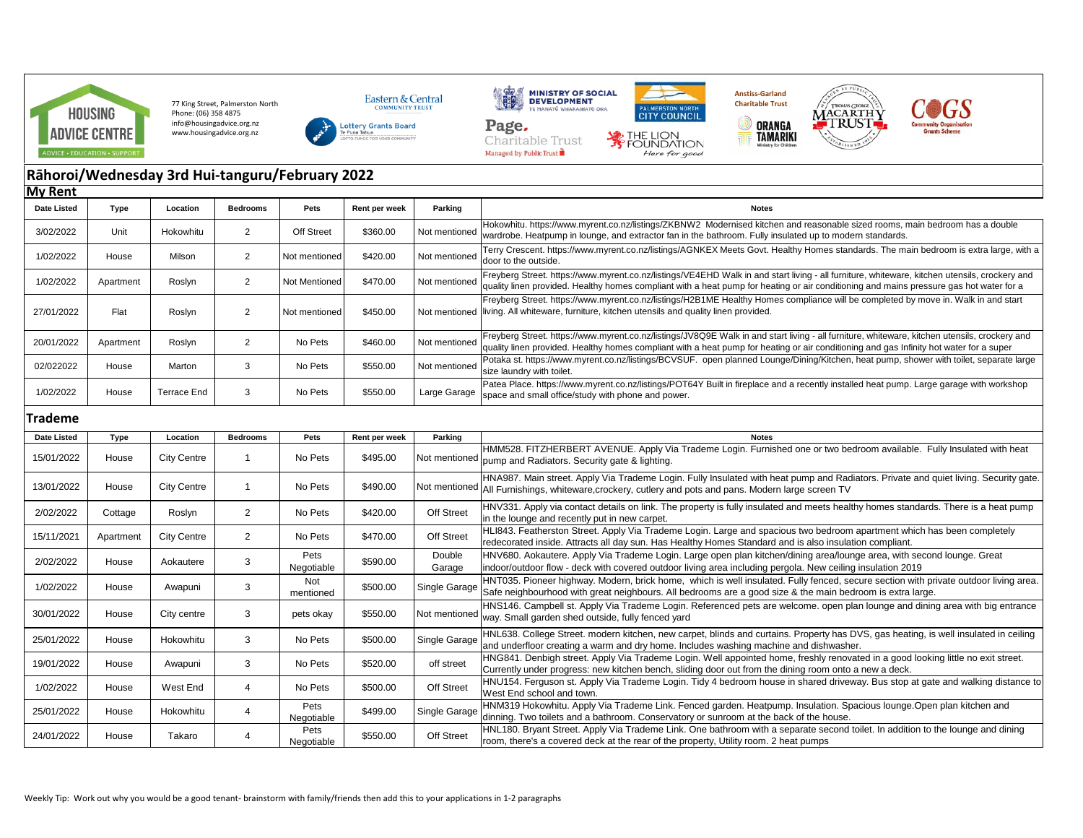

77 King Street, Palmerston North Phone: (06) 358 4875 info@housingadvice.org.nz www.housingadvice.org.nz









Here for good

 $\circledcirc$ 





## **Rāhoroi/Wednesday 3rd Hui-tanguru/February 2022 My Rent**

| .                  |           |             |                 |                   |               |               |                                                                                                                                                                                                                                                                                          |
|--------------------|-----------|-------------|-----------------|-------------------|---------------|---------------|------------------------------------------------------------------------------------------------------------------------------------------------------------------------------------------------------------------------------------------------------------------------------------------|
| <b>Date Listed</b> | Type      | Location    | <b>Bedrooms</b> | Pets              | Rent per week | Parking       | <b>Notes</b>                                                                                                                                                                                                                                                                             |
| 3/02/2022          | Unit      | Hokowhitu   | 2               | <b>Off Street</b> | \$360.00      | Not mentioned | Hokowhitu. https://www.myrent.co.nz/listings/ZKBNW2 Modernised kitchen and reasonable sized rooms, main bedroom has a double<br>wardrobe. Heatpump in lounge, and extractor fan in the bathroom. Fully insulated up to modern standards.                                                 |
| 1/02/2022          | House     | Milson      | $\overline{2}$  | Not mentioned     | \$420.00      | Not mentioned | Terry Crescent. https://www.myrent.co.nz/listings/AGNKEX Meets Govt. Healthy Homes standards. The main bedroom is extra large, with a<br>door to the outside.                                                                                                                            |
| 1/02/2022          | Apartment | Roslyn      | $\overline{2}$  | Not Mentioned     | \$470.00      | Not mentioned | Freyberg Street. https://www.myrent.co.nz/listings/VE4EHD Walk in and start living - all furniture, whiteware, kitchen utensils, crockery and<br>quality linen provided. Healthy homes compliant with a heat pump for heating or air conditioning and mains pressure gas hot water for a |
| 27/01/2022         | Flat      | Roslyn      | $\overline{2}$  | Not mentioned     | \$450.00      | Not mentioned | Freyberg Street. https://www.myrent.co.nz/listings/H2B1ME Healthy Homes compliance will be completed by move in. Walk in and start<br>living. All whiteware, furniture, kitchen utensils and quality linen provided.                                                                     |
| 20/01/2022         | Apartment | Roslyn      |                 | No Pets           | \$460.00      | Not mentioned | Freyberg Street. https://www.myrent.co.nz/listings/JV8Q9E Walk in and start living - all furniture, whiteware, kitchen utensils, crockery and<br>quality linen provided. Healthy homes compliant with a heat pump for heating or air conditioning and gas Infinity hot water for a super |
| 02/022022          | House     | Marton      | 3               | No Pets           | \$550.00      | Not mentioned | Potaka st. https://www.myrent.co.nz/listings/BCVSUF. open planned Lounge/Dining/Kitchen, heat pump, shower with toilet, separate large<br>size laundry with toilet.                                                                                                                      |
| 1/02/2022          | House     | Terrace End | 3               | No Pets           | \$550.00      | Large Garage  | Patea Place. https://www.myrent.co.nz/listings/POT64Y Built in fireplace and a recently installed heat pump. Large garage with workshop<br>space and small office/study with phone and power.                                                                                            |
| <b>Trademe</b>     |           |             |                 |                   |               |               |                                                                                                                                                                                                                                                                                          |
| Date Listed        | Type      | Location    | <b>Bedrooms</b> | Pets              | Rent per week | Parking       | <b>Notes</b>                                                                                                                                                                                                                                                                             |
|                    |           |             |                 |                   |               |               | HMME28 EITZHEDREDT AVENHE Apply Via Tradomo Login, Eurojshod ono or two bodroom available. Eully laculated with boat                                                                                                                                                                     |

Managed by Public Trust

| <b>Date Listed</b> | Type      | Location           | <b>Bedrooms</b> | <b>Pets</b>        | Rent per week | Parking          | <b>Notes</b>                                                                                                                                                                                                                                                    |
|--------------------|-----------|--------------------|-----------------|--------------------|---------------|------------------|-----------------------------------------------------------------------------------------------------------------------------------------------------------------------------------------------------------------------------------------------------------------|
| 15/01/2022         | House     | <b>City Centre</b> |                 | No Pets            | \$495.00      |                  | HMM528. FITZHERBERT AVENUE. Apply Via Trademe Login. Furnished one or two bedroom available. Fully Insulated with heat<br>Not mentioned pump and Radiators. Security gate & lighting.                                                                           |
| 13/01/2022         | House     | <b>City Centre</b> |                 | No Pets            | \$490.00      |                  | HNA987. Main street. Apply Via Trademe Login. Fully Insulated with heat pump and Radiators. Private and quiet living. Security gate.<br>Not mentioned All Furnishings, whiteware, crockery, cutlery and pots and pans. Modern large screen TV                   |
| 2/02/2022          | Cottage   | Roslyn             | 2               | No Pets            | \$420.00      | Off Street       | HNV331. Apply via contact details on link. The property is fully insulated and meets healthy homes standards. There is a heat pump<br>in the lounge and recently put in new carpet.                                                                             |
| 15/11/2021         | Apartment | <b>City Centre</b> | 2               | No Pets            | \$470.00      | Off Street       | HLI843. Featherston Street. Apply Via Trademe Login. Large and spacious two bedroom apartment which has been completely<br>redecorated inside. Attracts all day sun. Has Healthy Homes Standard and is also insulation compliant.                               |
| 2/02/2022          | House     | Aokautere          | 3               | Pets<br>Negotiable | \$590.00      | Double<br>Garage | HNV680. Aokautere. Apply Via Trademe Login. Large open plan kitchen/dining area/lounge area, with second lounge. Great<br>indoor/outdoor flow - deck with covered outdoor living area including pergola. New ceiling insulation 2019                            |
| 1/02/2022          | House     | Awapuni            | 3               | Not<br>mentioned   | \$500.00      |                  | HNT035. Pioneer highway. Modern, brick home, which is well insulated. Fully fenced, secure section with private outdoor living area.<br>Single Garage Safe neighbourhood with great neighbours. All bedrooms are a good size & the main bedroom is extra large. |
| 30/01/2022         | House     | City centre        | 3               | pets okay          | \$550.00      |                  | HNS146. Campbell st. Apply Via Trademe Login. Referenced pets are welcome. open plan lounge and dining area with big entrance<br>Not mentioned way. Small garden shed outside, fully fenced yard                                                                |
| 25/01/2022         | House     | Hokowhitu          | 3               | No Pets            | \$500.00      | Single Garage    | HNL638. College Street. modern kitchen, new carpet, blinds and curtains. Property has DVS, gas heating, is well insulated in ceiling<br>and underfloor creating a warm and dry home. Includes washing machine and dishwasher.                                   |
| 19/01/2022         | House     | Awapuni            | 3               | No Pets            | \$520.00      | off street       | HNG841. Denbigh street. Apply Via Trademe Login. Well appointed home, freshly renovated in a good looking little no exit street.<br>Currently under progress: new kitchen bench, sliding door out from the dining room onto a new a deck.                       |
| 1/02/2022          | House     | West End           | $\overline{4}$  | No Pets            | \$500.00      | Off Street       | HNU154. Ferguson st. Apply Via Trademe Login. Tidy 4 bedroom house in shared driveway. Bus stop at gate and walking distance to<br>West End school and town.                                                                                                    |
| 25/01/2022         | House     | Hokowhitu          | 4               | Pets<br>Negotiable | \$499.00      | Single Garage    | HNM319 Hokowhitu. Apply Via Trademe Link. Fenced garden. Heatpump. Insulation. Spacious lounge.Open plan kitchen and<br>dinning. Two toilets and a bathroom. Conservatory or sunroom at the back of the house.                                                  |
| 24/01/2022         | House     | Takaro             | 4               | Pets<br>Negotiable | \$550.00      | Off Street       | HNL180. Bryant Street. Apply Via Trademe Link. One bathroom with a separate second toilet. In addition to the lounge and dining<br>room, there's a covered deck at the rear of the property, Utility room. 2 heat pumps                                         |